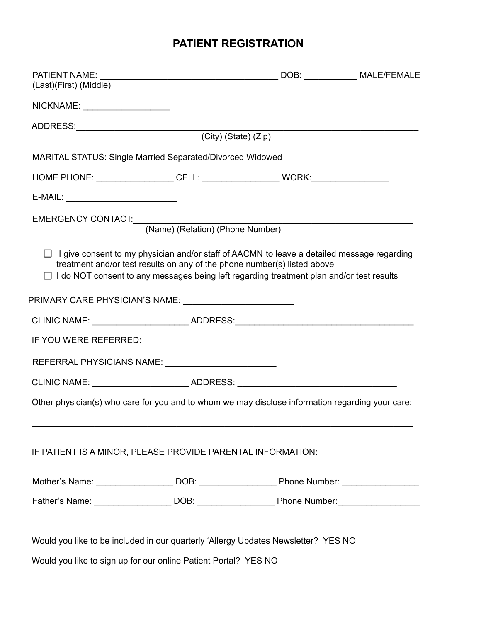# **PATIENT REGISTRATION**

| (Last)(First) (Middle)                                                                                                                                                                                                                                                           |                                  |                                                                            |  |
|----------------------------------------------------------------------------------------------------------------------------------------------------------------------------------------------------------------------------------------------------------------------------------|----------------------------------|----------------------------------------------------------------------------|--|
| NICKNAME: _____________________                                                                                                                                                                                                                                                  |                                  |                                                                            |  |
| ADDRESS: (City) (State) (Zip)                                                                                                                                                                                                                                                    |                                  |                                                                            |  |
|                                                                                                                                                                                                                                                                                  |                                  |                                                                            |  |
| MARITAL STATUS: Single Married Separated/Divorced Widowed                                                                                                                                                                                                                        |                                  |                                                                            |  |
| HOME PHONE: ____________________CELL: _________________________WORK:_____________                                                                                                                                                                                                |                                  |                                                                            |  |
| E-MAIL: _____________________________                                                                                                                                                                                                                                            |                                  |                                                                            |  |
|                                                                                                                                                                                                                                                                                  |                                  | the control of the control of the control of the control of the control of |  |
|                                                                                                                                                                                                                                                                                  | (Name) (Relation) (Phone Number) |                                                                            |  |
| $\Box$ I give consent to my physician and/or staff of AACMN to leave a detailed message regarding<br>treatment and/or test results on any of the phone number(s) listed above<br>$\Box$ I do NOT consent to any messages being left regarding treatment plan and/or test results |                                  |                                                                            |  |
| PRIMARY CARE PHYSICIAN'S NAME: __________________________                                                                                                                                                                                                                        |                                  |                                                                            |  |
| CLINIC NAME: _________________________ADDRESS:__________________________________                                                                                                                                                                                                 |                                  |                                                                            |  |
| IF YOU WERE REFERRED:                                                                                                                                                                                                                                                            |                                  |                                                                            |  |
| REFERRAL PHYSICIANS NAME: _________________________                                                                                                                                                                                                                              |                                  |                                                                            |  |
| CLINIC NAME: ____________________________ADDRESS: ______________________________                                                                                                                                                                                                 |                                  |                                                                            |  |
| Other physician(s) who care for you and to whom we may disclose information regarding your care:                                                                                                                                                                                 |                                  |                                                                            |  |
| IF PATIENT IS A MINOR, PLEASE PROVIDE PARENTAL INFORMATION:                                                                                                                                                                                                                      |                                  |                                                                            |  |
|                                                                                                                                                                                                                                                                                  |                                  |                                                                            |  |
| Father's Name: _______________________DOB: _________________________Phone Number: _______________________                                                                                                                                                                        |                                  |                                                                            |  |
|                                                                                                                                                                                                                                                                                  |                                  |                                                                            |  |
| Would you like to be included in our quarterly 'Allergy Updates Newsletter? YES NO                                                                                                                                                                                               |                                  |                                                                            |  |

Would you like to sign up for our online Patient Portal? YES NO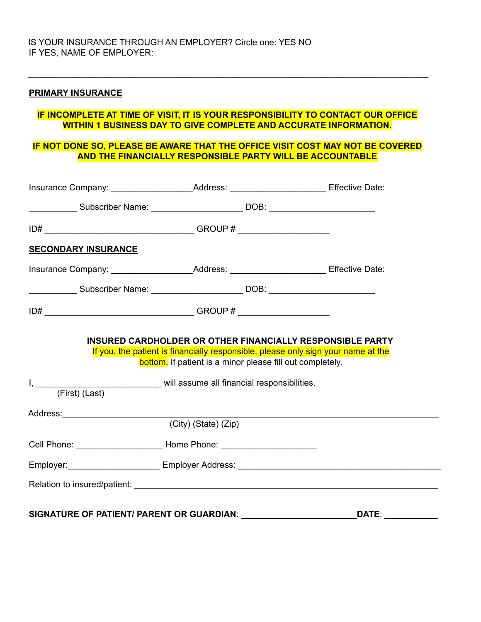### **PRIMARY INSURANCE**

### **IF INCOMPLETE AT TIME OF VISIT, IT IS YOUR RESPONSIBILITY TO CONTACT OUR OFFICE WITHIN 1 BUSINESS DAY TO GIVE COMPLETE AND ACCURATE INFORMATION.**

\_\_\_\_\_\_\_\_\_\_\_\_\_\_\_\_\_\_\_\_\_\_\_\_\_\_\_\_\_\_\_\_\_\_\_\_\_\_\_\_\_\_\_\_\_\_\_\_\_\_\_\_\_\_\_\_\_\_\_\_\_\_\_\_\_\_\_\_\_\_\_\_\_\_\_\_\_\_\_\_\_\_\_

### **IF NOT DONE SO, PLEASE BE AWARE THAT THE OFFICE VISIT COST MAY NOT BE COVERED AND THE FINANCIALLY RESPONSIBLE PARTY WILL BE ACCOUNTABLE**

| ____________________Subscriber Name: ___________________________DOB: _______________________________<br>Insurance Company: ____________________________Address: _________________________Effective Date:<br>____________________Subscriber Name: ___________________________DOB: _______________________________<br><b>INSURED CARDHOLDER OR OTHER FINANCIALLY RESPONSIBLE PARTY</b><br>If you, the patient is financially responsible, please only sign your name at the |
|---------------------------------------------------------------------------------------------------------------------------------------------------------------------------------------------------------------------------------------------------------------------------------------------------------------------------------------------------------------------------------------------------------------------------------------------------------------------------|
|                                                                                                                                                                                                                                                                                                                                                                                                                                                                           |
|                                                                                                                                                                                                                                                                                                                                                                                                                                                                           |
|                                                                                                                                                                                                                                                                                                                                                                                                                                                                           |
|                                                                                                                                                                                                                                                                                                                                                                                                                                                                           |
|                                                                                                                                                                                                                                                                                                                                                                                                                                                                           |
|                                                                                                                                                                                                                                                                                                                                                                                                                                                                           |
| <b>bottom.</b> If patient is a minor please fill out completely.<br>I, ___________________________________ will assume all financial responsibilities.                                                                                                                                                                                                                                                                                                                    |
|                                                                                                                                                                                                                                                                                                                                                                                                                                                                           |
|                                                                                                                                                                                                                                                                                                                                                                                                                                                                           |
| Cell Phone: ____________________________Home Phone: ____________________________                                                                                                                                                                                                                                                                                                                                                                                          |
|                                                                                                                                                                                                                                                                                                                                                                                                                                                                           |
|                                                                                                                                                                                                                                                                                                                                                                                                                                                                           |
|                                                                                                                                                                                                                                                                                                                                                                                                                                                                           |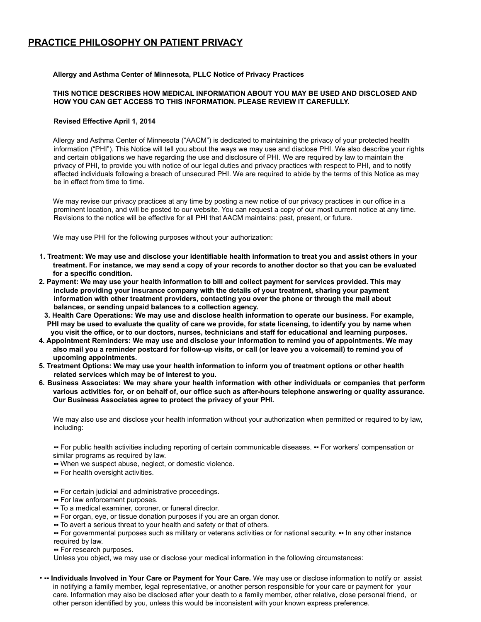## **PRACTICE PHILOSOPHY ON PATIENT PRIVACY**

#### **Allergy and Asthma Center of Minnesota, PLLC Notice of Privacy Practices**

#### **THIS NOTICE DESCRIBES HOW MEDICAL INFORMATION ABOUT YOU MAY BE USED AND DISCLOSED AND HOW YOU CAN GET ACCESS TO THIS INFORMATION. PLEASE REVIEW IT CAREFULLY.**

#### **Revised Effective April 1, 2014**

Allergy and Asthma Center of Minnesota ("AACM") is dedicated to maintaining the privacy of your protected health information ("PHI"). This Notice will tell you about the ways we may use and disclose PHI. We also describe your rights and certain obligations we have regarding the use and disclosure of PHI. We are required by law to maintain the privacy of PHI, to provide you with notice of our legal duties and privacy practices with respect to PHI, and to notify affected individuals following a breach of unsecured PHI. We are required to abide by the terms of this Notice as may be in effect from time to time.

We may revise our privacy practices at any time by posting a new notice of our privacy practices in our office in a prominent location, and will be posted to our website. You can request a copy of our most current notice at any time. Revisions to the notice will be effective for all PHI that AACM maintains: past, present, or future.

We may use PHI for the following purposes without your authorization:

- **1. Treatment: We may use and disclose your identifiable health information to treat you and assist others in your treatment. For instance, we may send a copy of your records to another doctor so that you can be evaluated for a specific condition.**
- **2. Payment: We may use your health information to bill and collect payment for services provided. This may include providing your insurance company with the details of your treatment, sharing your payment information with other treatment providers, contacting you over the phone or through the mail about balances, or sending unpaid balances to a collection agency.**
- **3. Health Care Operations: We may use and disclose health information to operate our business. For example, PHI may be used to evaluate the quality of care we provide, for state licensing, to identify you by name when you visit the office, or to our doctors, nurses, technicians and staff for educational and learning purposes.**
- **4. Appointment Reminders: We may use and disclose your information to remind you of appointments. We may also mail you a reminder postcard for follow-up visits, or call (or leave you a voicemail) to remind you of upcoming appointments.**
- **5. Treatment Options: We may use your health information to inform you of treatment options or other health related services which may be of interest to you.**
- **6. Business Associates: We may share your health information with other individuals or companies that perform** various activities for, or on behalf of, our office such as after-hours telephone answering or quality assurance. **Our Business Associates agree to protect the privacy of your PHI.**

We may also use and disclose your health information without your authorization when permitted or required to by law, including:

■ For public health activities including reporting of certain communicable diseases. ■ For workers' compensation or similar programs as required by law.

- ▪▪ When we suspect abuse, neglect, or domestic violence.
- For health oversight activities.
- ▪▪ For certain judicial and administrative proceedings.
- For law enforcement purposes.
- ▪▪ To a medical examiner, coroner, or funeral director.
- For organ, eye, or tissue donation purposes if you are an organ donor.
- To avert a serious threat to your health and safety or that of others.

• For governmental purposes such as military or veterans activities or for national security. •• In any other instance required by law.

• For research purposes.

Unless you object, we may use or disclose your medical information in the following circumstances:

• **• Individuals Involved in Your Care or Payment for Your Care.** We may use or disclose information to notify or assist in notifying a family member, legal representative, or another person responsible for your care or payment for your care. Information may also be disclosed after your death to a family member, other relative, close personal friend, or other person identified by you, unless this would be inconsistent with your known express preference.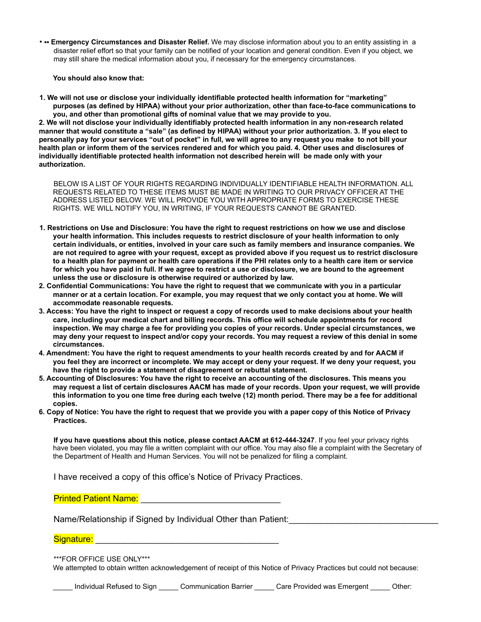• • **Emergency Circumstances and Disaster Relief.** We may disclose information about you to an entity assisting in a disaster relief effort so that your family can be notified of your location and general condition. Even if you object, we may still share the medical information about you, if necessary for the emergency circumstances.

**You should also know that:**

**1. We will not use or disclose your individually identifiable protected health information for "marketing" purposes (as defined by HIPAA) without your prior authorization, other than face-to-face communications to you, and other than promotional gifts of nominal value that we may provide to you.**

**2. We will not disclose your individually identifiably protected health information in any non-research related manner that would constitute a "sale" (as defined by HIPAA) without your prior authorization. 3. If you elect to personally pay for your services "out of pocket" in full, we will agree to any request you make to not bill your health plan or inform them of the services rendered and for which you paid. 4. Other uses and disclosures of individually identifiable protected health information not described herein will be made only with your authorization.**

BELOW IS A LIST OF YOUR RIGHTS REGARDING INDIVIDUALLY IDENTIFIABLE HEALTH INFORMATION. ALL REQUESTS RELATED TO THESE ITEMS MUST BE MADE IN WRITING TO OUR PRIVACY OFFICER AT THE ADDRESS LISTED BELOW. WE WILL PROVIDE YOU WITH APPROPRIATE FORMS TO EXERCISE THESE RIGHTS. WE WILL NOTIFY YOU, IN WRITING, IF YOUR REQUESTS CANNOT BE GRANTED.

- **1. Restrictions on Use and Disclosure: You have the right to request restrictions on how we use and disclose your health information. This includes requests to restrict disclosure of your health information to only certain individuals, or entities, involved in your care such as family members and insurance companies. We are not required to agree with your request, except as provided above if you request us to restrict disclosure to a health plan for payment or health care operations if the PHI relates only to a health care item or service for which you have paid in full. If we agree to restrict a use or disclosure, we are bound to the agreement unless the use or disclosure is otherwise required or authorized by law.**
- **2. Confidential Communications: You have the right to request that we communicate with you in a particular manner or at a certain location. For example, you may request that we only contact you at home. We will accommodate reasonable requests.**
- **3. Access: You have the right to inspect or request a copy of records used to make decisions about your health care, including your medical chart and billing records. This office will schedule appointments for record inspection. We may charge a fee for providing you copies of your records. Under special circumstances, we may deny your request to inspect and/or copy your records. You may request a review of this denial in some circumstances.**
- **4. Amendment: You have the right to request amendments to your health records created by and for AACM if you feel they are incorrect or incomplete. We may accept or deny your request. If we deny your request, you have the right to provide a statement of disagreement or rebuttal statement.**
- **5. Accounting of Disclosures: You have the right to receive an accounting of the disclosures. This means you may request a list of certain disclosures AACM has made of your records. Upon your request, we will provide this information to you one time free during each twelve (12) month period. There may be a fee for additional copies.**
- **6. Copy of Notice: You have the right to request that we provide you with a paper copy of this Notice of Privacy Practices.**

**If you have questions about this notice, please contact AACM at 612-444-3247**. If you feel your privacy rights have been violated, you may file a written complaint with our office. You may also file a complaint with the Secretary of the Department of Health and Human Services. You will not be penalized for filing a complaint.

I have received a copy of this office's Notice of Privacy Practices.

Printed Patient Name: \_\_\_\_\_\_\_\_\_\_\_\_\_\_\_\_\_\_\_\_\_\_\_\_\_\_\_\_\_

Name/Relationship if Signed by Individual Other than Patient:

#### Signature:

\*\*\*FOR OFFICE USE ONLY\*\*\*

We attempted to obtain written acknowledgement of receipt of this Notice of Privacy Practices but could not because:

\_\_\_\_\_ Individual Refused to Sign \_\_\_\_\_ Communication Barrier \_\_\_\_\_ Care Provided was Emergent \_\_\_\_\_ Other: